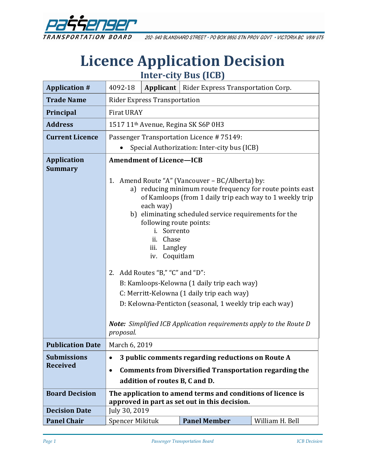

202-940 BLANSHARD STREET · PO BOX 9850 STN PROV GOVT · VICTORIA BC V8W 9T5

# **Licence Application Decision Inter-city Bus (ICB)**

| <b>Application #</b>                                                                 | 4092-18                                                                                                                                                                                                                                                                                                                                                                                                                                                                                                                                                                                                                 |  | <b>Applicant</b>   Rider Express Transportation Corp. |                 |
|--------------------------------------------------------------------------------------|-------------------------------------------------------------------------------------------------------------------------------------------------------------------------------------------------------------------------------------------------------------------------------------------------------------------------------------------------------------------------------------------------------------------------------------------------------------------------------------------------------------------------------------------------------------------------------------------------------------------------|--|-------------------------------------------------------|-----------------|
| <b>Trade Name</b>                                                                    | <b>Rider Express Transportation</b>                                                                                                                                                                                                                                                                                                                                                                                                                                                                                                                                                                                     |  |                                                       |                 |
| Principal                                                                            | <b>Firat URAY</b>                                                                                                                                                                                                                                                                                                                                                                                                                                                                                                                                                                                                       |  |                                                       |                 |
| <b>Address</b>                                                                       |                                                                                                                                                                                                                                                                                                                                                                                                                                                                                                                                                                                                                         |  | 1517 11 <sup>th</sup> Avenue, Regina SK S6P 0H3       |                 |
| <b>Current Licence</b>                                                               |                                                                                                                                                                                                                                                                                                                                                                                                                                                                                                                                                                                                                         |  | Passenger Transportation Licence #75149:              |                 |
|                                                                                      |                                                                                                                                                                                                                                                                                                                                                                                                                                                                                                                                                                                                                         |  | Special Authorization: Inter-city bus (ICB)           |                 |
| <b>Application</b><br><b>Summary</b>                                                 | <b>Amendment of Licence-ICB</b>                                                                                                                                                                                                                                                                                                                                                                                                                                                                                                                                                                                         |  |                                                       |                 |
|                                                                                      | Amend Route "A" (Vancouver - BC/Alberta) by:<br>1.<br>a) reducing minimum route frequency for route points east<br>of Kamloops (from 1 daily trip each way to 1 weekly trip<br>each way)<br>b) eliminating scheduled service requirements for the<br>following route points:<br>i. Sorrento<br>Chase<br>ii.<br>Langley<br>iii.<br>iv. Coquitlam<br>2. Add Routes "B," "C" and "D":<br>B: Kamloops-Kelowna (1 daily trip each way)<br>C: Merritt-Kelowna (1 daily trip each way)<br>D: Kelowna-Penticton (seasonal, 1 weekly trip each way)<br><b>Note:</b> Simplified ICB Application requirements apply to the Route D |  |                                                       |                 |
| <b>Publication Date</b>                                                              | March 6, 2019                                                                                                                                                                                                                                                                                                                                                                                                                                                                                                                                                                                                           |  |                                                       |                 |
| <b>Submissions</b><br>3 public comments regarding reductions on Route A<br>$\bullet$ |                                                                                                                                                                                                                                                                                                                                                                                                                                                                                                                                                                                                                         |  |                                                       |                 |
| <b>Received</b>                                                                      | <b>Comments from Diversified Transportation regarding the</b><br>$\bullet$                                                                                                                                                                                                                                                                                                                                                                                                                                                                                                                                              |  |                                                       |                 |
|                                                                                      | addition of routes B, C and D.                                                                                                                                                                                                                                                                                                                                                                                                                                                                                                                                                                                          |  |                                                       |                 |
| <b>Board Decision</b>                                                                | The application to amend terms and conditions of licence is<br>approved in part as set out in this decision.                                                                                                                                                                                                                                                                                                                                                                                                                                                                                                            |  |                                                       |                 |
| <b>Decision Date</b>                                                                 | July 30, 2019                                                                                                                                                                                                                                                                                                                                                                                                                                                                                                                                                                                                           |  |                                                       |                 |
| <b>Panel Chair</b>                                                                   | Spencer Mikituk                                                                                                                                                                                                                                                                                                                                                                                                                                                                                                                                                                                                         |  | <b>Panel Member</b>                                   | William H. Bell |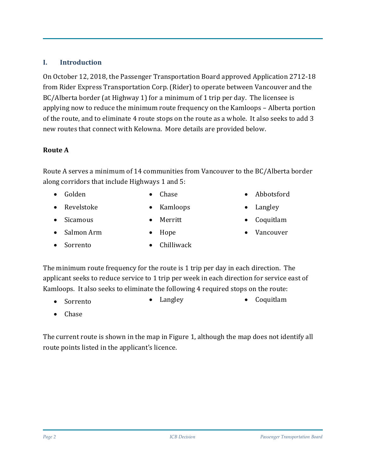# **I. Introduction**

On October 12, 2018, the Passenger Transportation Board approved Application 2712-18 from Rider Express Transportation Corp. (Rider) to operate between Vancouver and the BC/Alberta border (at Highway 1) for a minimum of 1 trip per day. The licensee is applying now to reduce the minimum route frequency on the Kamloops – Alberta portion of the route, and to eliminate 4 route stops on the route as a whole. It also seeks to add 3 new routes that connect with Kelowna. More details are provided below.

#### **Route A**

Route A serves a minimum of 14 communities from Vancouver to the BC/Alberta border along corridors that include Highways 1 and 5:

• Golden

• Sicamous

• Salmon Arm

- Chase
- Revelstoke
- Kamloops
- Merritt
	- Hope
- Sorrento
	- Chilliwack
- Abbotsford
- Langley
- Coquitlam
- Vancouver

The minimum route frequency for the route is 1 trip per day in each direction. The applicant seeks to reduce service to 1 trip per week in each direction for service east of Kamloops. It also seeks to eliminate the following 4 required stops on the route:

- Sorrento • Langley • Coquitlam
- Chase

The current route is shown in the map in Figure 1, although the map does not identify all route points listed in the applicant's licence.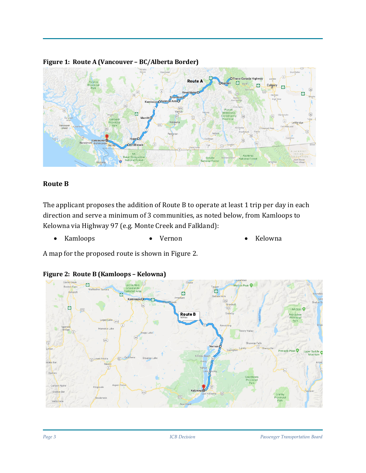

#### **Figure 1: Route A (Vancouver – BC/Alberta Border)**

#### **Route B**

The applicant proposes the addition of Route B to operate at least 1 trip per day in each direction and serve a minimum of 3 communities, as noted below, from Kamloops to Kelowna via Highway 97 (e.g. Monte Creek and Falkland):

• Kamloops • Vernon • Kelowna

A map for the proposed route is shown in Figure 2.



#### **Figure 2: Route B (Kamloops – Kelowna)**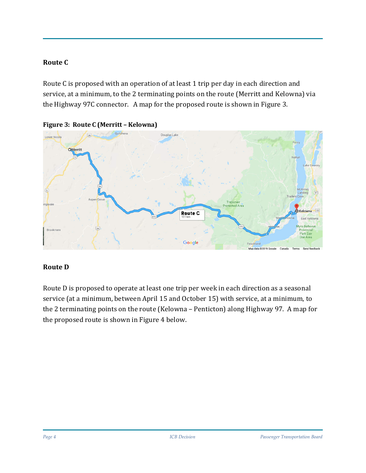#### **Route C**

Route C is proposed with an operation of at least 1 trip per day in each direction and service, at a minimum, to the 2 terminating points on the route (Merritt and Kelowna) via the Highway 97C connector. A map for the proposed route is shown in Figure 3.





#### **Route D**

Route D is proposed to operate at least one trip per week in each direction as a seasonal service (at a minimum, between April 15 and October 15) with service, at a minimum, to the 2 terminating points on the route (Kelowna – Penticton) along Highway 97. A map for the proposed route is shown in Figure 4 below.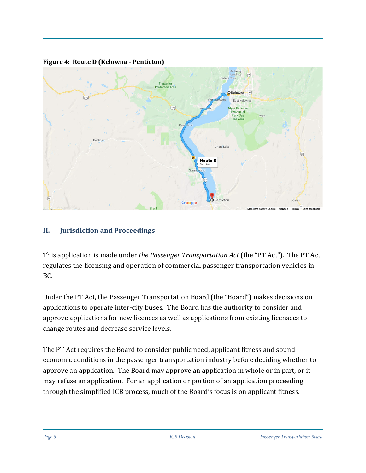

**Figure 4: Route D (Kelowna - Penticton)**

# **II. Jurisdiction and Proceedings**

This application is made under *the Passenger Transportation Act* (the "PT Act"). The PT Act regulates the licensing and operation of commercial passenger transportation vehicles in BC.

Under the PT Act, the Passenger Transportation Board (the "Board") makes decisions on applications to operate inter-city buses. The Board has the authority to consider and approve applications for new licences as well as applications from existing licensees to change routes and decrease service levels.

The PT Act requires the Board to consider public need, applicant fitness and sound economic conditions in the passenger transportation industry before deciding whether to approve an application. The Board may approve an application in whole or in part, or it may refuse an application. For an application or portion of an application proceeding through the simplified ICB process, much of the Board's focus is on applicant fitness.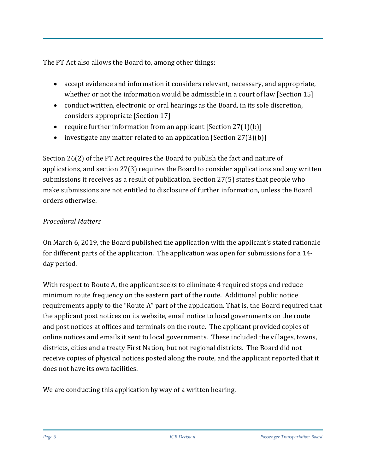The PT Act also allows the Board to, among other things:

- accept evidence and information it considers relevant, necessary, and appropriate, whether or not the information would be admissible in a court of law [Section 15]
- conduct written, electronic or oral hearings as the Board, in its sole discretion, considers appropriate [Section 17]
- require further information from an applicant [Section 27(1)(b)]
- investigate any matter related to an application [Section 27(3)(b)]

Section 26(2) of the PT Act requires the Board to publish the fact and nature of applications, and section 27(3) requires the Board to consider applications and any written submissions it receives as a result of publication. Section 27(5) states that people who make submissions are not entitled to disclosure of further information, unless the Board orders otherwise.

# *Procedural Matters*

On March 6, 2019, the Board published the application with the applicant's stated rationale for different parts of the application. The application was open for submissions for a 14 day period.

With respect to Route A, the applicant seeks to eliminate 4 required stops and reduce minimum route frequency on the eastern part of the route. Additional public notice requirements apply to the "Route A" part of the application. That is, the Board required that the applicant post notices on its website, email notice to local governments on the route and post notices at offices and terminals on the route. The applicant provided copies of online notices and emails it sent to local governments. These included the villages, towns, districts, cities and a treaty First Nation, but not regional districts. The Board did not receive copies of physical notices posted along the route, and the applicant reported that it does not have its own facilities.

We are conducting this application by way of a written hearing.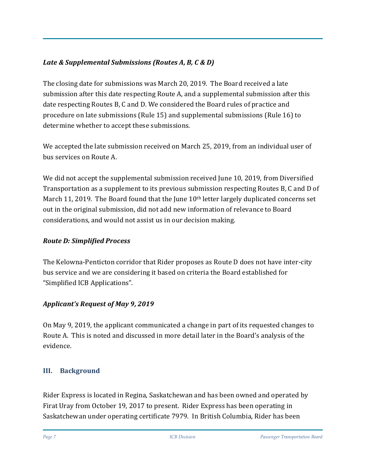# *Late & Supplemental Submissions (Routes A, B, C & D)*

The closing date for submissions was March 20, 2019. The Board received a late submission after this date respecting Route A, and a supplemental submission after this date respecting Routes B, C and D. We considered the Board rules of practice and procedure on late submissions (Rule 15) and supplemental submissions (Rule 16) to determine whether to accept these submissions.

We accepted the late submission received on March 25, 2019, from an individual user of bus services on Route A.

We did not accept the supplemental submission received June 10, 2019, from Diversified Transportation as a supplement to its previous submission respecting Routes B, C and D of March 11, 2019. The Board found that the June 10<sup>th</sup> letter largely duplicated concerns set out in the original submission, did not add new information of relevance to Board considerations, and would not assist us in our decision making.

# *Route D: Simplified Process*

The Kelowna-Penticton corridor that Rider proposes as Route D does not have inter-city bus service and we are considering it based on criteria the Board established for "Simplified ICB Applications".

# *Applicant's Request of May 9, 2019*

On May 9, 2019, the applicant communicated a change in part of its requested changes to Route A. This is noted and discussed in more detail later in the Board's analysis of the evidence.

# **III. Background**

Rider Express is located in Regina, Saskatchewan and has been owned and operated by Firat Uray from October 19, 2017 to present. Rider Express has been operating in Saskatchewan under operating certificate 7979. In British Columbia, Rider has been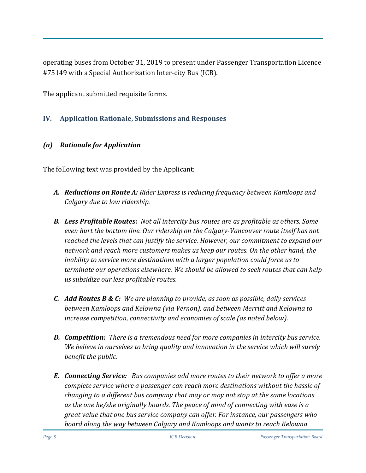operating buses from October 31, 2019 to present under Passenger Transportation Licence #75149 with a Special Authorization Inter-city Bus (ICB).

The applicant submitted requisite forms.

#### **IV. Application Rationale, Submissions and Responses**

#### *(a) Rationale for Application*

The following text was provided by the Applicant:

- *A. Reductions on Route A: Rider Express is reducing frequency between Kamloops and Calgary due to low ridership.*
- *B. Less Profitable Routes: Not all intercity bus routes are as profitable as others. Some even hurt the bottom line. Our ridership on the Calgary-Vancouver route itself has not reached the levels that can justify the service. However, our commitment to expand our network and reach more customers makes us keep our routes. On the other hand, the inability to service more destinations with a larger population could force us to terminate our operations elsewhere. We should be allowed to seek routes that can help us subsidize our less profitable routes.*
- *C. Add Routes B & C: We are planning to provide, as soon as possible, daily services between Kamloops and Kelowna (via Vernon), and between Merritt and Kelowna to increase competition, connectivity and economies of scale (as noted below).*
- *D. Competition: There is a tremendous need for more companies in intercity bus service. We believe in ourselves to bring quality and innovation in the service which will surely benefit the public.*
- *E. Connecting Service: Bus companies add more routes to their network to offer a more complete service where a passenger can reach more destinations without the hassle of changing to a different bus company that may or may not stop at the same locations as the one he/she originally boards. The peace of mind of connecting with ease is a great value that one bus service company can offer. For instance, our passengers who board along the way between Calgary and Kamloops and wants to reach Kelowna*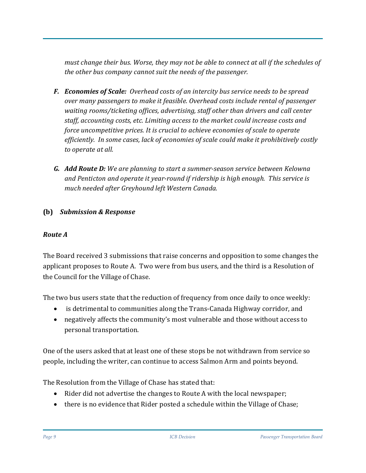*must change their bus. Worse, they may not be able to connect at all if the schedules of the other bus company cannot suit the needs of the passenger.*

- *F. Economies of Scale: Overhead costs of an intercity bus service needs to be spread over many passengers to make it feasible. Overhead costs include rental of passenger waiting rooms/ticketing offices, advertising, staff other than drivers and call center staff, accounting costs, etc. Limiting access to the market could increase costs and force uncompetitive prices. It is crucial to achieve economies of scale to operate efficiently. In some cases, lack of economies of scale could make it prohibitively costly to operate at all.*
- *G. Add Route D: We are planning to start a summer-season service between Kelowna and Penticton and operate it year-round if ridership is high enough. This service is much needed after Greyhound left Western Canada.*

# **(b)** *Submission & Response*

# *Route A*

The Board received 3 submissions that raise concerns and opposition to some changes the applicant proposes to Route A. Two were from bus users, and the third is a Resolution of the Council for the Village of Chase.

The two bus users state that the reduction of frequency from once daily to once weekly:

- is detrimental to communities along the Trans-Canada Highway corridor, and
- negatively affects the community's most vulnerable and those without access to personal transportation.

One of the users asked that at least one of these stops be not withdrawn from service so people, including the writer, can continue to access Salmon Arm and points beyond.

The Resolution from the Village of Chase has stated that:

- Rider did not advertise the changes to Route A with the local newspaper;
- there is no evidence that Rider posted a schedule within the Village of Chase;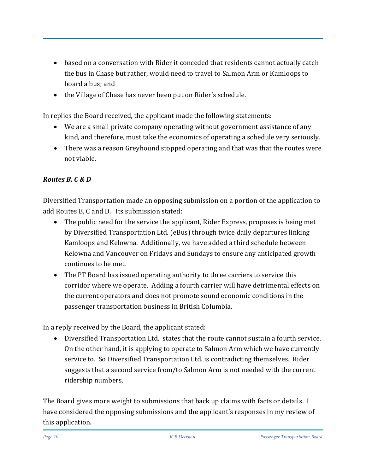- based on a conversation with Rider it conceded that residents cannot actually catch the bus in Chase but rather, would need to travel to Salmon Arm or Kamloops to board a bus; and
- the Village of Chase has never been put on Rider's schedule.

In replies the Board received, the applicant made the following statements:

- We are a small private company operating without government assistance of any kind, and therefore, must take the economics of operating a schedule very seriously.
- There was a reason Greyhound stopped operating and that was that the routes were not viable.

# *Routes B, C & D*

Diversified Transportation made an opposing submission on a portion of the application to add Routes B, C and D. Its submission stated:

- The public need for the service the applicant, Rider Express, proposes is being met by Diversified Transportation Ltd. (eBus) through twice daily departures linking Kamloops and Kelowna. Additionally, we have added a third schedule between Kelowna and Vancouver on Fridays and Sundays to ensure any anticipated growth continues to be met.
- The PT Board has issued operating authority to three carriers to service this corridor where we operate. Adding a fourth carrier will have detrimental effects on the current operators and does not promote sound economic conditions in the passenger transportation business in British Columbia.

In a reply received by the Board, the applicant stated:

• Diversified Transportation Ltd. states that the route cannot sustain a fourth service. On the other hand, it is applying to operate to Salmon Arm which we have currently service to. So Diversified Transportation Ltd. is contradicting themselves. Rider suggests that a second service from/to Salmon Arm is not needed with the current ridership numbers.

The Board gives more weight to submissions that back up claims with facts or details. I have considered the opposing submissions and the applicant's responses in my review of this application.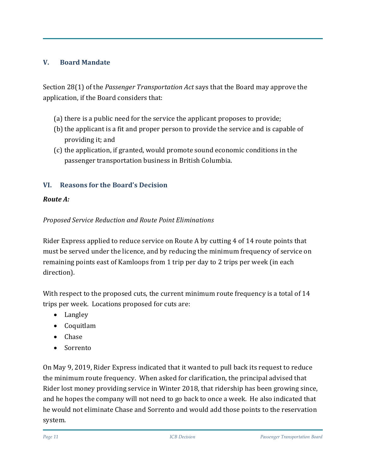# **V. Board Mandate**

Section 28(1) of the *Passenger Transportation Act* says that the Board may approve the application, if the Board considers that:

- (a) there is a public need for the service the applicant proposes to provide;
- (b) the applicant is a fit and proper person to provide the service and is capable of providing it; and
- (c) the application, if granted, would promote sound economic conditions in the passenger transportation business in British Columbia.

# **VI. Reasons for the Board's Decision**

# *Route A:*

# *Proposed Service Reduction and Route Point Eliminations*

Rider Express applied to reduce service on Route A by cutting 4 of 14 route points that must be served under the licence, and by reducing the minimum frequency of service on remaining points east of Kamloops from 1 trip per day to 2 trips per week (in each direction).

With respect to the proposed cuts, the current minimum route frequency is a total of 14 trips per week. Locations proposed for cuts are:

- Langley
- Coquitlam
- Chase
- Sorrento

On May 9, 2019, Rider Express indicated that it wanted to pull back its request to reduce the minimum route frequency. When asked for clarification, the principal advised that Rider lost money providing service in Winter 2018, that ridership has been growing since, and he hopes the company will not need to go back to once a week. He also indicated that he would not eliminate Chase and Sorrento and would add those points to the reservation system.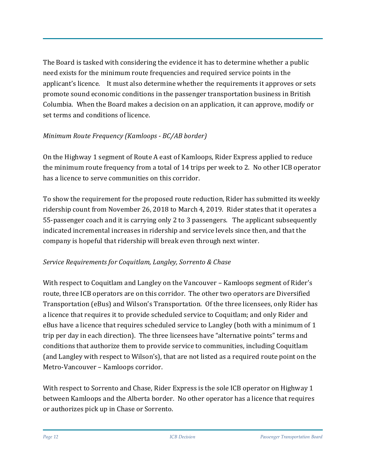The Board is tasked with considering the evidence it has to determine whether a public need exists for the minimum route frequencies and required service points in the applicant's licence. It must also determine whether the requirements it approves or sets promote sound economic conditions in the passenger transportation business in British Columbia. When the Board makes a decision on an application, it can approve, modify or set terms and conditions of licence.

# *Minimum Route Frequency (Kamloops - BC/AB border)*

On the Highway 1 segment of Route A east of Kamloops, Rider Express applied to reduce the minimum route frequency from a total of 14 trips per week to 2. No other ICB operator has a licence to serve communities on this corridor.

To show the requirement for the proposed route reduction, Rider has submitted its weekly ridership count from November 26, 2018 to March 4, 2019. Rider states that it operates a 55-passenger coach and it is carrying only 2 to 3 passengers. The applicant subsequently indicated incremental increases in ridership and service levels since then, and that the company is hopeful that ridership will break even through next winter.

# *Service Requirements for Coquitlam, Langley, Sorrento & Chase*

With respect to Coquitlam and Langley on the Vancouver – Kamloops segment of Rider's route, three ICB operators are on this corridor. The other two operators are Diversified Transportation (eBus) and Wilson's Transportation. Of the three licensees, only Rider has a licence that requires it to provide scheduled service to Coquitlam; and only Rider and eBus have a licence that requires scheduled service to Langley (both with a minimum of 1 trip per day in each direction). The three licensees have "alternative points" terms and conditions that authorize them to provide service to communities, including Coquitlam (and Langley with respect to Wilson's), that are not listed as a required route point on the Metro-Vancouver – Kamloops corridor.

With respect to Sorrento and Chase, Rider Express is the sole ICB operator on Highway 1 between Kamloops and the Alberta border. No other operator has a licence that requires or authorizes pick up in Chase or Sorrento.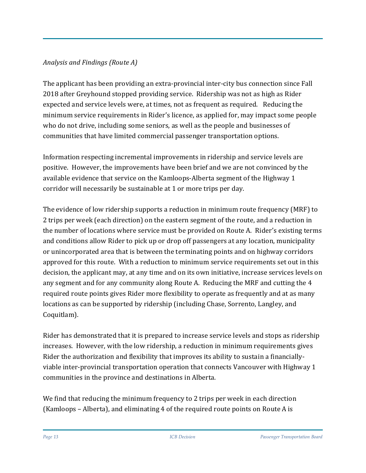# *Analysis and Findings (Route A)*

The applicant has been providing an extra-provincial inter-city bus connection since Fall 2018 after Greyhound stopped providing service. Ridership was not as high as Rider expected and service levels were, at times, not as frequent as required. Reducing the minimum service requirements in Rider's licence, as applied for, may impact some people who do not drive, including some seniors, as well as the people and businesses of communities that have limited commercial passenger transportation options.

Information respecting incremental improvements in ridership and service levels are positive. However, the improvements have been brief and we are not convinced by the available evidence that service on the Kamloops-Alberta segment of the Highway 1 corridor will necessarily be sustainable at 1 or more trips per day.

The evidence of low ridership supports a reduction in minimum route frequency (MRF) to 2 trips per week (each direction) on the eastern segment of the route, and a reduction in the number of locations where service must be provided on Route A. Rider's existing terms and conditions allow Rider to pick up or drop off passengers at any location, municipality or unincorporated area that is between the terminating points and on highway corridors approved for this route. With a reduction to minimum service requirements set out in this decision, the applicant may, at any time and on its own initiative, increase services levels on any segment and for any community along Route A. Reducing the MRF and cutting the 4 required route points gives Rider more flexibility to operate as frequently and at as many locations as can be supported by ridership (including Chase, Sorrento, Langley, and Coquitlam).

Rider has demonstrated that it is prepared to increase service levels and stops as ridership increases. However, with the low ridership, a reduction in minimum requirements gives Rider the authorization and flexibility that improves its ability to sustain a financiallyviable inter-provincial transportation operation that connects Vancouver with Highway 1 communities in the province and destinations in Alberta.

We find that reducing the minimum frequency to 2 trips per week in each direction (Kamloops – Alberta), and eliminating 4 of the required route points on Route A is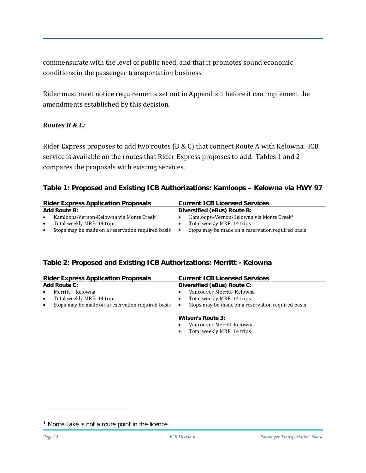commensurate with the level of public need, and that it promotes sound economic conditions in the passenger transportation business.

Rider must meet notice requirements set out in Appendix 1 before it can implement the amendments established by this decision.

#### *Routes B & C:*

Rider Express proposes to add two routes (B & C) that connect Route A with Kelowna. ICB service is available on the routes that Rider Express proposes to add. Tables 1 and 2 compares the proposals with existing services.

#### **Table 1: Proposed and Existing ICB Authorizations: Kamloops – Kelowna via HWY 97**

|           | <b>Rider Express Application Proposals</b>           |           | <b>Current ICB Licensed Services</b>                 |
|-----------|------------------------------------------------------|-----------|------------------------------------------------------|
|           | <b>Add Route B:</b>                                  |           | Diversified (eBus) Route B:                          |
| $\bullet$ | Kamloops-Vernon-Kelowna via Monte Creek <sup>1</sup> |           | Kamloops-Vernon-Kelowna via Monte Creek <sup>1</sup> |
| $\bullet$ | Total weekly MRF: 14 trips                           |           | Total weekly MRF: 14 trips                           |
| $\bullet$ | Stops may be made on a reservation required basis    | $\bullet$ | Stops may be made on a reservation required basis    |

#### **Table 2: Proposed and Existing ICB Authorizations: Merritt - Kelowna**

| <b>Rider Express Application Proposals</b>                     | <b>Current ICB Licensed Services</b>                           |
|----------------------------------------------------------------|----------------------------------------------------------------|
| <b>Add Route C:</b>                                            | Diversified (eBus) Route C:                                    |
| Merritt - Kelowna                                              | Vancouver-Merritt-Kelowna                                      |
| Total weekly MRF: 14 trips<br>$\bullet$                        | Total weekly MRF: 14 trips<br>٠                                |
| Stops may be made on a reservation required basis<br>$\bullet$ | Stops may be made on a reservation required basis<br>$\bullet$ |
|                                                                | Wilson's Route 3:<br>Vancouver-Merritt-Kelowna                 |
|                                                                | Total weekly MRF: 14 trips<br>٠                                |
|                                                                |                                                                |

ł

<span id="page-13-0"></span> $<sup>1</sup>$  Monte Lake is not a route point in the licence.</sup>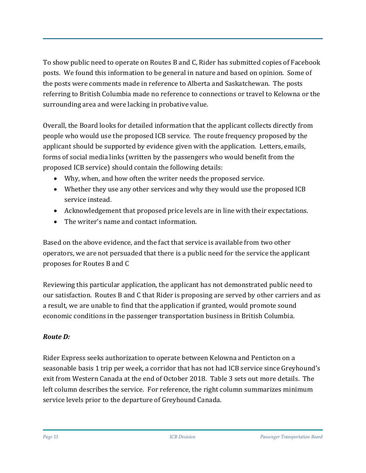To show public need to operate on Routes B and C, Rider has submitted copies of Facebook posts. We found this information to be general in nature and based on opinion. Some of the posts were comments made in reference to Alberta and Saskatchewan. The posts referring to British Columbia made no reference to connections or travel to Kelowna or the surrounding area and were lacking in probative value.

Overall, the Board looks for detailed information that the applicant collects directly from people who would use the proposed ICB service. The route frequency proposed by the applicant should be supported by evidence given with the application. Letters, emails, forms of social media links (written by the passengers who would benefit from the proposed ICB service) should contain the following details:

- Why, when, and how often the writer needs the proposed service.
- Whether they use any other services and why they would use the proposed ICB service instead.
- Acknowledgement that proposed price levels are in line with their expectations.
- The writer's name and contact information.

Based on the above evidence, and the fact that service is available from two other operators, we are not persuaded that there is a public need for the service the applicant proposes for Routes B and C

Reviewing this particular application, the applicant has not demonstrated public need to our satisfaction. Routes B and C that Rider is proposing are served by other carriers and as a result, we are unable to find that the application if granted, would promote sound economic conditions in the passenger transportation business in British Columbia.

# *Route D:*

Rider Express seeks authorization to operate between Kelowna and Penticton on a seasonable basis 1 trip per week, a corridor that has not had ICB service since Greyhound's exit from Western Canada at the end of October 2018. Table 3 sets out more details. The left column describes the service. For reference, the right column summarizes minimum service levels prior to the departure of Greyhound Canada.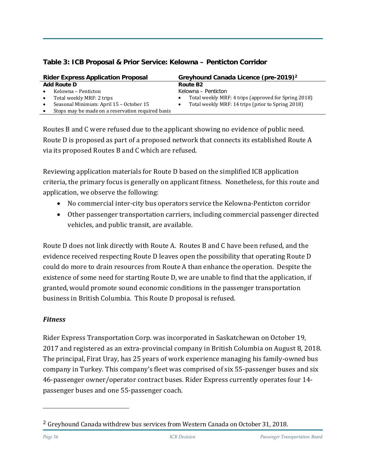|           | <b>Rider Express Application Proposal</b>         | Greyhound Canada Licence (pre-2019) <sup>2</sup>     |
|-----------|---------------------------------------------------|------------------------------------------------------|
|           | <b>Add Route D</b>                                | Route B <sub>2</sub>                                 |
| $\bullet$ | Kelowna – Penticton                               | Kelowna – Penticton                                  |
| $\bullet$ | Total weekly MRF: 2 trips                         | Total weekly MRF: 4 trips (approved for Spring 2018) |
| $\bullet$ | Seasonal Minimum: April 15 - October 15           | Total weekly MRF: 14 trips (prior to Spring 2018)    |
| $\bullet$ | Stops may be made on a reservation required basis |                                                      |

#### **Table 3: ICB Proposal & Prior Service: Kelowna – Penticton Corridor**

Routes B and C were refused due to the applicant showing no evidence of public need. Route D is proposed as part of a proposed network that connects its established Route A via its proposed Routes B and C which are refused.

Reviewing application materials for Route D based on the simplified ICB application criteria, the primary focus is generally on applicant fitness. Nonetheless, for this route and application, we observe the following:

- No commercial inter-city bus operators service the Kelowna-Penticton corridor
- Other passenger transportation carriers, including commercial passenger directed vehicles, and public transit, are available.

Route D does not link directly with Route A. Routes B and C have been refused, and the evidence received respecting Route D leaves open the possibility that operating Route D could do more to drain resources from Route A than enhance the operation. Despite the existence of some need for starting Route D, we are unable to find that the application, if granted, would promote sound economic conditions in the passenger transportation business in British Columbia. This Route D proposal is refused.

# *Fitness*

Rider Express Transportation Corp. was incorporated in Saskatchewan on October 19, 2017 and registered as an extra-provincial company in British Columbia on August 8, 2018. The principal, Firat Uray, has 25 years of work experience managing his family-owned bus company in Turkey. This company's fleet was comprised of six 55-passenger buses and six 46-passenger owner/operator contract buses. Rider Express currently operates four 14 passenger buses and one 55-passenger coach.

ł

<span id="page-15-0"></span><sup>&</sup>lt;sup>2</sup> Greyhound Canada withdrew bus services from Western Canada on October 31, 2018.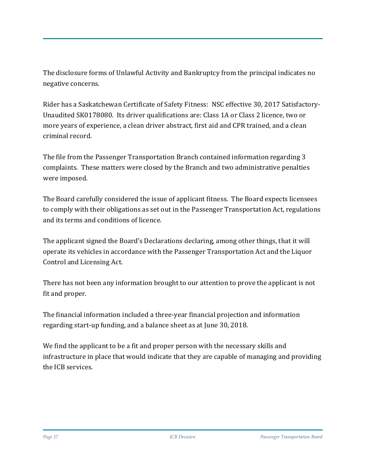The disclosure forms of Unlawful Activity and Bankruptcy from the principal indicates no negative concerns.

Rider has a Saskatchewan Certificate of Safety Fitness: NSC effective 30, 2017 Satisfactory-Unaudited SK0178080. Its driver qualifications are: Class 1A or Class 2 licence, two or more years of experience, a clean driver abstract, first aid and CPR trained, and a clean criminal record.

The file from the Passenger Transportation Branch contained information regarding 3 complaints. These matters were closed by the Branch and two administrative penalties were imposed.

The Board carefully considered the issue of applicant fitness. The Board expects licensees to comply with their obligations as set out in the Passenger Transportation Act, regulations and its terms and conditions of licence.

The applicant signed the Board's Declarations declaring, among other things, that it will operate its vehicles in accordance with the Passenger Transportation Act and the Liquor Control and Licensing Act.

There has not been any information brought to our attention to prove the applicant is not fit and proper.

The financial information included a three-year financial projection and information regarding start-up funding, and a balance sheet as at June 30, 2018.

We find the applicant to be a fit and proper person with the necessary skills and infrastructure in place that would indicate that they are capable of managing and providing the ICB services.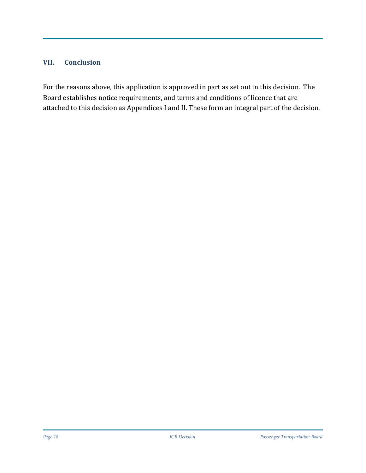#### **VII. Conclusion**

For the reasons above, this application is approved in part as set out in this decision. The Board establishes notice requirements, and terms and conditions of licence that are attached to this decision as Appendices I and II. These form an integral part of the decision.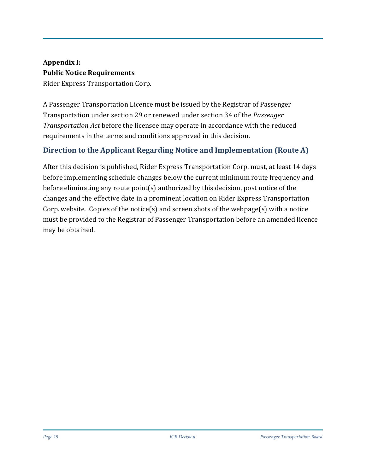# **Appendix I: Public Notice Requirements**

Rider Express Transportation Corp.

A Passenger Transportation Licence must be issued by the Registrar of Passenger Transportation under section 29 or renewed under section 34 of the *Passenger Transportation Act* before the licensee may operate in accordance with the reduced requirements in the terms and conditions approved in this decision.

# **Direction to the Applicant Regarding Notice and Implementation (Route A)**

After this decision is published, Rider Express Transportation Corp. must, at least 14 days before implementing schedule changes below the current minimum route frequency and before eliminating any route point(s) authorized by this decision, post notice of the changes and the effective date in a prominent location on Rider Express Transportation Corp. website. Copies of the notice(s) and screen shots of the webpage(s) with a notice must be provided to the Registrar of Passenger Transportation before an amended licence may be obtained.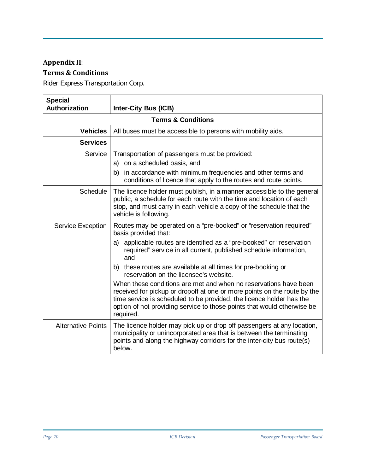# **Appendix II**:

# **Terms & Conditions**

Rider Express Transportation Corp.

| <b>Special</b><br>Authorization | <b>Inter-City Bus (ICB)</b>                                                                                                                                                                                                                                                                                                                                                                                                                                                                                                                                                                                                                                                   |  |  |  |
|---------------------------------|-------------------------------------------------------------------------------------------------------------------------------------------------------------------------------------------------------------------------------------------------------------------------------------------------------------------------------------------------------------------------------------------------------------------------------------------------------------------------------------------------------------------------------------------------------------------------------------------------------------------------------------------------------------------------------|--|--|--|
| <b>Terms &amp; Conditions</b>   |                                                                                                                                                                                                                                                                                                                                                                                                                                                                                                                                                                                                                                                                               |  |  |  |
| <b>Vehicles</b>                 | All buses must be accessible to persons with mobility aids.                                                                                                                                                                                                                                                                                                                                                                                                                                                                                                                                                                                                                   |  |  |  |
| <b>Services</b>                 |                                                                                                                                                                                                                                                                                                                                                                                                                                                                                                                                                                                                                                                                               |  |  |  |
| Service                         | Transportation of passengers must be provided:<br>a) on a scheduled basis, and<br>b) in accordance with minimum frequencies and other terms and<br>conditions of licence that apply to the routes and route points.                                                                                                                                                                                                                                                                                                                                                                                                                                                           |  |  |  |
| <b>Schedule</b>                 | The licence holder must publish, in a manner accessible to the general<br>public, a schedule for each route with the time and location of each<br>stop, and must carry in each vehicle a copy of the schedule that the<br>vehicle is following.                                                                                                                                                                                                                                                                                                                                                                                                                               |  |  |  |
| <b>Service Exception</b>        | Routes may be operated on a "pre-booked" or "reservation required"<br>basis provided that:<br>applicable routes are identified as a "pre-booked" or "reservation<br>a)<br>required" service in all current, published schedule information,<br>and<br>b) these routes are available at all times for pre-booking or<br>reservation on the licensee's website.<br>When these conditions are met and when no reservations have been<br>received for pickup or dropoff at one or more points on the route by the<br>time service is scheduled to be provided, the licence holder has the<br>option of not providing service to those points that would otherwise be<br>required. |  |  |  |
| <b>Alternative Points</b>       | The licence holder may pick up or drop off passengers at any location,<br>municipality or unincorporated area that is between the terminating<br>points and along the highway corridors for the inter-city bus route(s)<br>below.                                                                                                                                                                                                                                                                                                                                                                                                                                             |  |  |  |